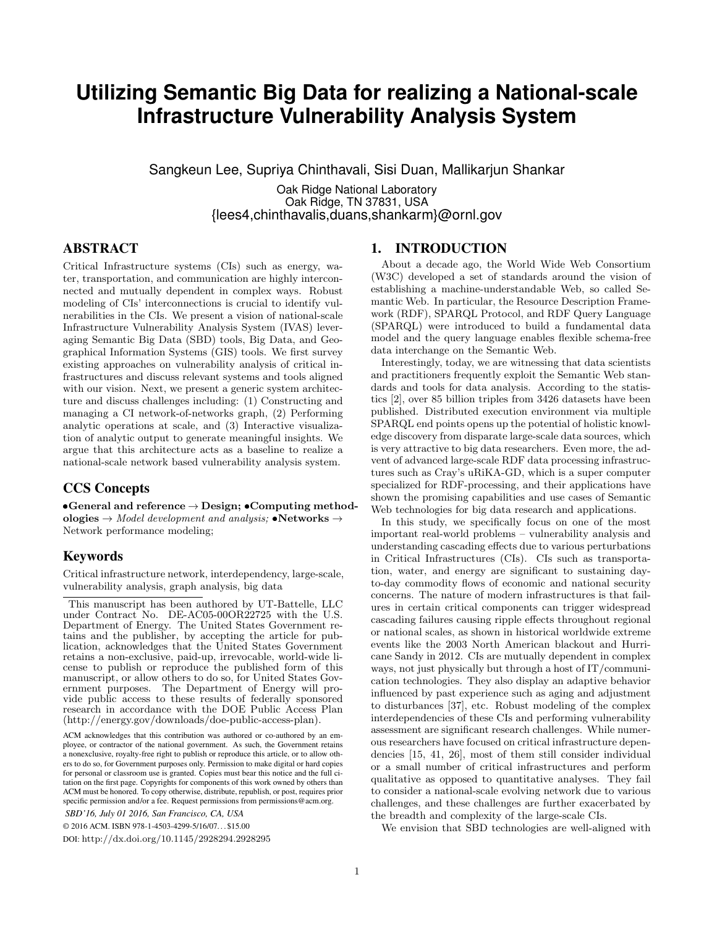# **Utilizing Semantic Big Data for realizing a National-scale Infrastructure Vulnerability Analysis System**

Sangkeun Lee, Supriya Chinthavali, Sisi Duan, Mallikarjun Shankar

Oak Ridge National Laboratory Oak Ridge, TN 37831, USA {lees4,chinthavalis,duans,shankarm}@ornl.gov

# ABSTRACT

Critical Infrastructure systems (CIs) such as energy, water, transportation, and communication are highly interconnected and mutually dependent in complex ways. Robust modeling of CIs' interconnections is crucial to identify vulnerabilities in the CIs. We present a vision of national-scale Infrastructure Vulnerability Analysis System (IVAS) leveraging Semantic Big Data (SBD) tools, Big Data, and Geographical Information Systems (GIS) tools. We first survey existing approaches on vulnerability analysis of critical infrastructures and discuss relevant systems and tools aligned with our vision. Next, we present a generic system architecture and discuss challenges including: (1) Constructing and managing a CI network-of-networks graph, (2) Performing analytic operations at scale, and (3) Interactive visualization of analytic output to generate meaningful insights. We argue that this architecture acts as a baseline to realize a national-scale network based vulnerability analysis system.

## CCS Concepts

General and reference  $\rightarrow$  Design;  $\bullet$  Computing methodologies  $\rightarrow$  Model development and analysis;  $\bullet$ Networks  $\rightarrow$ Network performance modeling;

## Keywords

Critical infrastructure network, interdependency, large-scale, vulnerability analysis, graph analysis, big data

This manuscript has been authored by UT-Battelle, LLC under Contract No. DE-AC05-00OR22725 with the U.S. Department of Energy. The United States Government retains and the publisher, by accepting the article for publication, acknowledges that the United States Government retains a non-exclusive, paid-up, irrevocable, world-wide license to publish or reproduce the published form of this manuscript, or allow others to do so, for United States Government purposes. The Department of Energy will provide public access to these results of federally sponsored research in accordance with the DOE Public Access Plan (http://energy.gov/downloads/doe-public-access-plan).

ACM acknowledges that this contribution was authored or co-authored by an employee, or contractor of the national government. As such, the Government retains a nonexclusive, royalty-free right to publish or reproduce this article, or to allow others to do so, for Government purposes only. Permission to make digital or hard copies for personal or classroom use is granted. Copies must bear this notice and the full citation on the first page. Copyrights for components of this work owned by others than ACM must be honored. To copy otherwise, distribute, republish, or post, requires prior specific permission and/or a fee. Request permissions from permissions@acm.org. *SBD'16, July 01 2016, San Francisco, CA, USA*

© 2016 ACM. ISBN 978-1-4503-4299-5/16/07. . . \$15.00

DOI: http://dx.doi.org/10.1145/2928294.2928295

#### 1. INTRODUCTION

About a decade ago, the World Wide Web Consortium (W3C) developed a set of standards around the vision of establishing a machine-understandable Web, so called Semantic Web. In particular, the Resource Description Framework (RDF), SPARQL Protocol, and RDF Query Language (SPARQL) were introduced to build a fundamental data model and the query language enables flexible schema-free data interchange on the Semantic Web.

Interestingly, today, we are witnessing that data scientists and practitioners frequently exploit the Semantic Web standards and tools for data analysis. According to the statistics [2], over 85 billion triples from 3426 datasets have been published. Distributed execution environment via multiple SPARQL end points opens up the potential of holistic knowledge discovery from disparate large-scale data sources, which is very attractive to big data researchers. Even more, the advent of advanced large-scale RDF data processing infrastructures such as Cray's uRiKA-GD, which is a super computer specialized for RDF-processing, and their applications have shown the promising capabilities and use cases of Semantic Web technologies for big data research and applications.

In this study, we specifically focus on one of the most important real-world problems – vulnerability analysis and understanding cascading effects due to various perturbations in Critical Infrastructures (CIs). CIs such as transportation, water, and energy are significant to sustaining dayto-day commodity flows of economic and national security concerns. The nature of modern infrastructures is that failures in certain critical components can trigger widespread cascading failures causing ripple effects throughout regional or national scales, as shown in historical worldwide extreme events like the 2003 North American blackout and Hurricane Sandy in 2012. CIs are mutually dependent in complex ways, not just physically but through a host of IT/communication technologies. They also display an adaptive behavior influenced by past experience such as aging and adjustment to disturbances [37], etc. Robust modeling of the complex interdependencies of these CIs and performing vulnerability assessment are significant research challenges. While numerous researchers have focused on critical infrastructure dependencies [15, 41, 26], most of them still consider individual or a small number of critical infrastructures and perform qualitative as opposed to quantitative analyses. They fail to consider a national-scale evolving network due to various challenges, and these challenges are further exacerbated by the breadth and complexity of the large-scale CIs.

We envision that SBD technologies are well-aligned with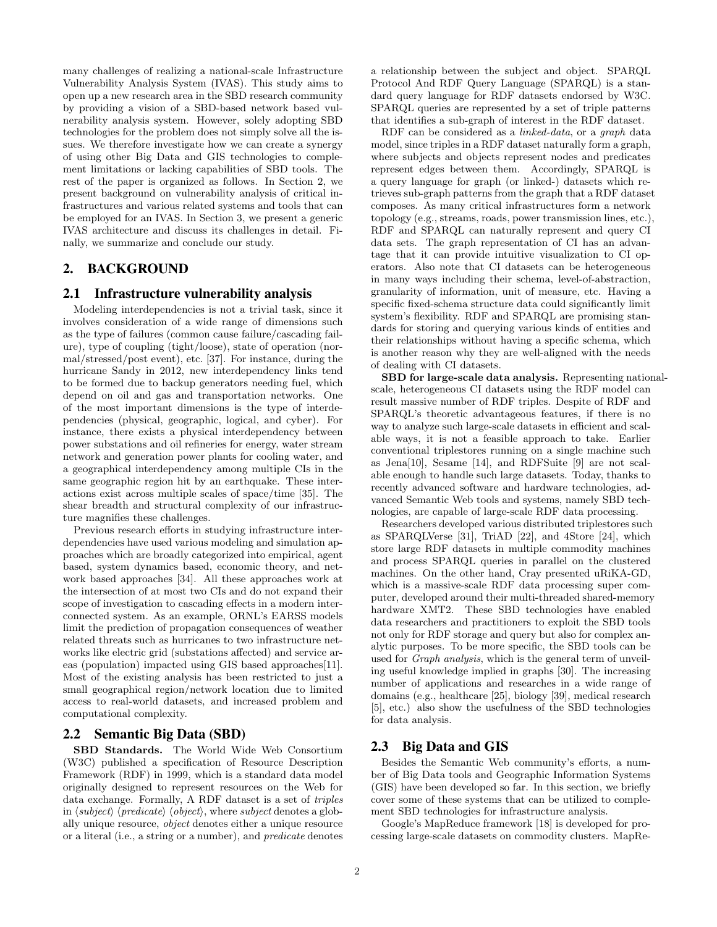many challenges of realizing a national-scale Infrastructure Vulnerability Analysis System (IVAS). This study aims to open up a new research area in the SBD research community by providing a vision of a SBD-based network based vulnerability analysis system. However, solely adopting SBD technologies for the problem does not simply solve all the issues. We therefore investigate how we can create a synergy of using other Big Data and GIS technologies to complement limitations or lacking capabilities of SBD tools. The rest of the paper is organized as follows. In Section 2, we present background on vulnerability analysis of critical infrastructures and various related systems and tools that can be employed for an IVAS. In Section 3, we present a generic IVAS architecture and discuss its challenges in detail. Finally, we summarize and conclude our study.

## 2. BACKGROUND

#### 2.1 Infrastructure vulnerability analysis

Modeling interdependencies is not a trivial task, since it involves consideration of a wide range of dimensions such as the type of failures (common cause failure/cascading failure), type of coupling (tight/loose), state of operation (normal/stressed/post event), etc. [37]. For instance, during the hurricane Sandy in 2012, new interdependency links tend to be formed due to backup generators needing fuel, which depend on oil and gas and transportation networks. One of the most important dimensions is the type of interdependencies (physical, geographic, logical, and cyber). For instance, there exists a physical interdependency between power substations and oil refineries for energy, water stream network and generation power plants for cooling water, and a geographical interdependency among multiple CIs in the same geographic region hit by an earthquake. These interactions exist across multiple scales of space/time [35]. The shear breadth and structural complexity of our infrastructure magnifies these challenges.

Previous research efforts in studying infrastructure interdependencies have used various modeling and simulation approaches which are broadly categorized into empirical, agent based, system dynamics based, economic theory, and network based approaches [34]. All these approaches work at the intersection of at most two CIs and do not expand their scope of investigation to cascading effects in a modern interconnected system. As an example, ORNL's EARSS models limit the prediction of propagation consequences of weather related threats such as hurricanes to two infrastructure networks like electric grid (substations affected) and service areas (population) impacted using GIS based approaches[11]. Most of the existing analysis has been restricted to just a small geographical region/network location due to limited access to real-world datasets, and increased problem and computational complexity.

#### 2.2 Semantic Big Data (SBD)

SBD Standards. The World Wide Web Consortium (W3C) published a specification of Resource Description Framework (RDF) in 1999, which is a standard data model originally designed to represent resources on the Web for data exchange. Formally, A RDF dataset is a set of triples in  $\langle subject \rangle$   $\langle predicate \rangle$   $\langle object \rangle$ , where subject denotes a globally unique resource, object denotes either a unique resource or a literal (i.e., a string or a number), and predicate denotes a relationship between the subject and object. SPARQL Protocol And RDF Query Language (SPARQL) is a standard query language for RDF datasets endorsed by W3C. SPARQL queries are represented by a set of triple patterns that identifies a sub-graph of interest in the RDF dataset.

RDF can be considered as a linked-data, or a graph data model, since triples in a RDF dataset naturally form a graph, where subjects and objects represent nodes and predicates represent edges between them. Accordingly, SPARQL is a query language for graph (or linked-) datasets which retrieves sub-graph patterns from the graph that a RDF dataset composes. As many critical infrastructures form a network topology (e.g., streams, roads, power transmission lines, etc.), RDF and SPARQL can naturally represent and query CI data sets. The graph representation of CI has an advantage that it can provide intuitive visualization to CI operators. Also note that CI datasets can be heterogeneous in many ways including their schema, level-of-abstraction, granularity of information, unit of measure, etc. Having a specific fixed-schema structure data could significantly limit system's flexibility. RDF and SPARQL are promising standards for storing and querying various kinds of entities and their relationships without having a specific schema, which is another reason why they are well-aligned with the needs of dealing with CI datasets.

SBD for large-scale data analysis. Representing nationalscale, heterogeneous CI datasets using the RDF model can result massive number of RDF triples. Despite of RDF and SPARQL's theoretic advantageous features, if there is no way to analyze such large-scale datasets in efficient and scalable ways, it is not a feasible approach to take. Earlier conventional triplestores running on a single machine such as Jena[10], Sesame [14], and RDFSuite [9] are not scalable enough to handle such large datasets. Today, thanks to recently advanced software and hardware technologies, advanced Semantic Web tools and systems, namely SBD technologies, are capable of large-scale RDF data processing.

Researchers developed various distributed triplestores such as SPARQLVerse [31], TriAD [22], and 4Store [24], which store large RDF datasets in multiple commodity machines and process SPARQL queries in parallel on the clustered machines. On the other hand, Cray presented uRiKA-GD, which is a massive-scale RDF data processing super computer, developed around their multi-threaded shared-memory hardware XMT2. These SBD technologies have enabled data researchers and practitioners to exploit the SBD tools not only for RDF storage and query but also for complex analytic purposes. To be more specific, the SBD tools can be used for Graph analysis, which is the general term of unveiling useful knowledge implied in graphs [30]. The increasing number of applications and researches in a wide range of domains (e.g., healthcare [25], biology [39], medical research [5], etc.) also show the usefulness of the SBD technologies for data analysis.

#### 2.3 Big Data and GIS

Besides the Semantic Web community's efforts, a number of Big Data tools and Geographic Information Systems (GIS) have been developed so far. In this section, we briefly cover some of these systems that can be utilized to complement SBD technologies for infrastructure analysis.

Google's MapReduce framework [18] is developed for processing large-scale datasets on commodity clusters. MapRe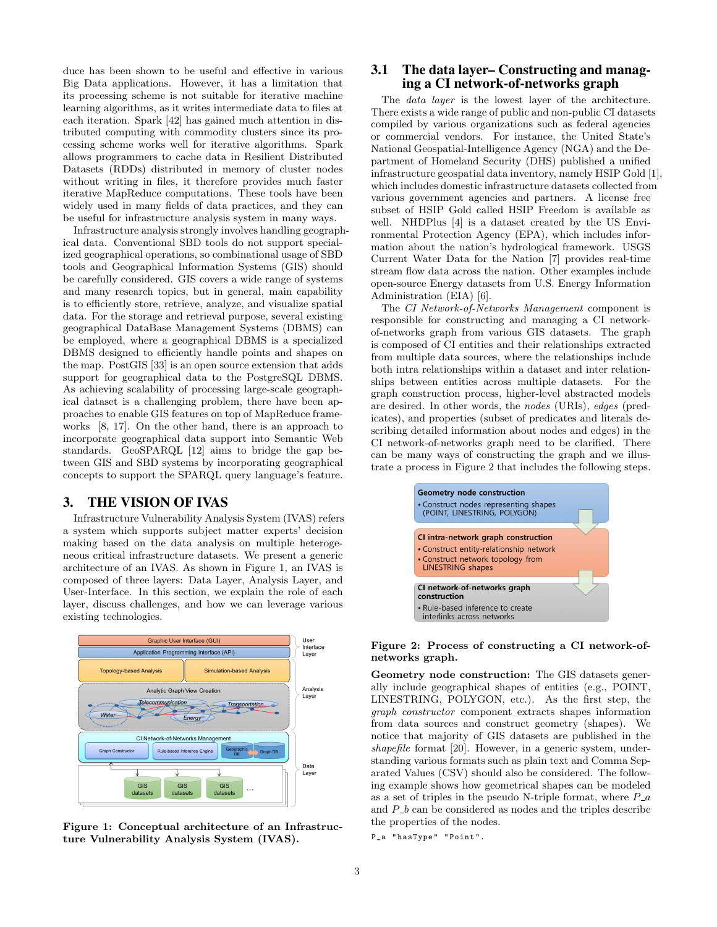duce has been shown to be useful and effective in various Big Data applications. However, it has a limitation that its processing scheme is not suitable for iterative machine learning algorithms, as it writes intermediate data to files at each iteration. Spark [42] has gained much attention in distributed computing with commodity clusters since its processing scheme works well for iterative algorithms. Spark allows programmers to cache data in Resilient Distributed Datasets (RDDs) distributed in memory of cluster nodes without writing in files, it therefore provides much faster iterative MapReduce computations. These tools have been widely used in many fields of data practices, and they can be useful for infrastructure analysis system in many ways.

Infrastructure analysis strongly involves handling geographical data. Conventional SBD tools do not support specialized geographical operations, so combinational usage of SBD tools and Geographical Information Systems (GIS) should be carefully considered. GIS covers a wide range of systems and many research topics, but in general, main capability is to efficiently store, retrieve, analyze, and visualize spatial data. For the storage and retrieval purpose, several existing geographical DataBase Management Systems (DBMS) can be employed, where a geographical DBMS is a specialized DBMS designed to efficiently handle points and shapes on the map. PostGIS [33] is an open source extension that adds support for geographical data to the PostgreSQL DBMS. As achieving scalability of processing large-scale geographical dataset is a challenging problem, there have been approaches to enable GIS features on top of MapReduce frameworks [8, 17]. On the other hand, there is an approach to incorporate geographical data support into Semantic Web standards. GeoSPARQL [12] aims to bridge the gap between GIS and SBD systems by incorporating geographical concepts to support the SPARQL query language's feature.

#### 3. THE VISION OF IVAS

Infrastructure Vulnerability Analysis System (IVAS) refers a system which supports subject matter experts' decision making based on the data analysis on multiple heterogeneous critical infrastructure datasets. We present a generic architecture of an IVAS. As shown in Figure 1, an IVAS is composed of three layers: Data Layer, Analysis Layer, and User-Interface. In this section, we explain the role of each layer, discuss challenges, and how we can leverage various existing technologies.



Figure 1: Conceptual architecture of an Infrastructure Vulnerability Analysis System (IVAS).

#### 3.1 The data layer– Constructing and managing a CI network-of-networks graph

The data layer is the lowest layer of the architecture. There exists a wide range of public and non-public CI datasets compiled by various organizations such as federal agencies or commercial vendors. For instance, the United State's National Geospatial-Intelligence Agency (NGA) and the Department of Homeland Security (DHS) published a unified infrastructure geospatial data inventory, namely HSIP Gold [1], which includes domestic infrastructure datasets collected from various government agencies and partners. A license free subset of HSIP Gold called HSIP Freedom is available as well. NHDPlus [4] is a dataset created by the US Environmental Protection Agency (EPA), which includes information about the nation's hydrological framework. USGS Current Water Data for the Nation [7] provides real-time stream flow data across the nation. Other examples include open-source Energy datasets from U.S. Energy Information Administration (EIA) [6].

The CI Network-of-Networks Management component is responsible for constructing and managing a CI networkof-networks graph from various GIS datasets. The graph is composed of CI entities and their relationships extracted from multiple data sources, where the relationships include both intra relationships within a dataset and inter relationships between entities across multiple datasets. For the graph construction process, higher-level abstracted models are desired. In other words, the nodes (URIs), edges (predicates), and properties (subset of predicates and literals describing detailed information about nodes and edges) in the CI network-of-networks graph need to be clarified. There can be many ways of constructing the graph and we illustrate a process in Figure 2 that includes the following steps.



#### Figure 2: Process of constructing a CI network-ofnetworks graph.

Geometry node construction: The GIS datasets generally include geographical shapes of entities (e.g., POINT, LINESTRING, POLYGON, etc.). As the first step, the graph constructor component extracts shapes information from data sources and construct geometry (shapes). We notice that majority of GIS datasets are published in the shapefile format [20]. However, in a generic system, understanding various formats such as plain text and Comma Separated Values (CSV) should also be considered. The following example shows how geometrical shapes can be modeled as a set of triples in the pseudo N-triple format, where  $P_{-}a$ and  $P_b$  can be considered as nodes and the triples describe the properties of the nodes.

P\_a " hasType " " Point ".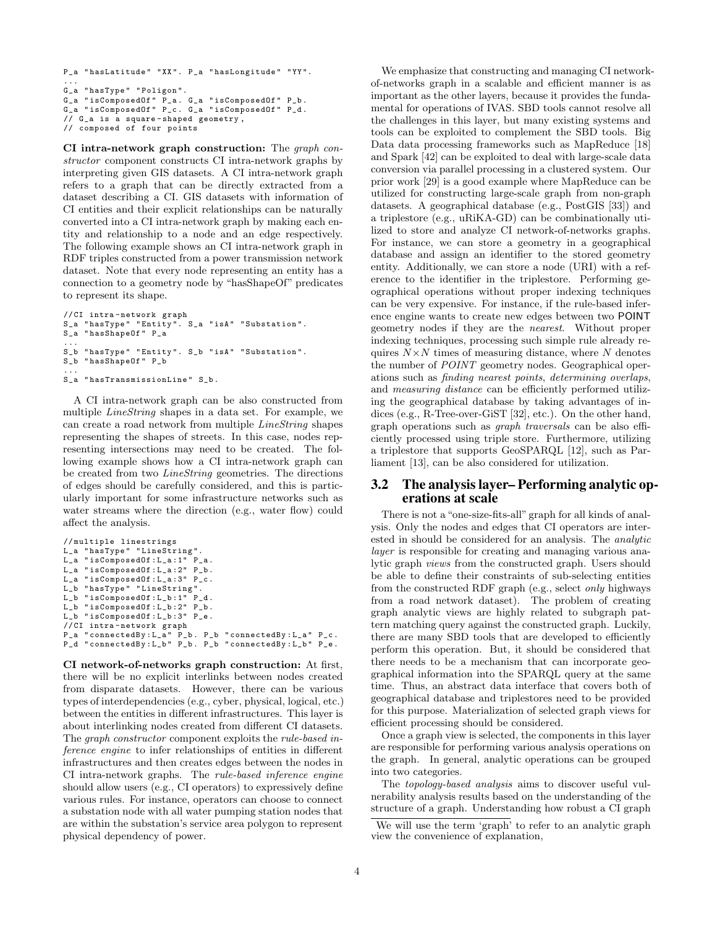```
P_a " hasLatitude " " XX ". P_a " hasLongitude " " YY ".
...<br>G_a "hasType" "Poligon".
G_a " isComposedOf " P_a . G_a " isComposedOf " P_b .
G_a "isComposedOf" P_c. G_a "isComposedOf" P_d.
// G_a is a square - shaped geometry ,
// composed of four points
```
CI intra-network graph construction: The graph constructor component constructs CI intra-network graphs by interpreting given GIS datasets. A CI intra-network graph refers to a graph that can be directly extracted from a dataset describing a CI. GIS datasets with information of CI entities and their explicit relationships can be naturally converted into a CI intra-network graph by making each entity and relationship to a node and an edge respectively. The following example shows an CI intra-network graph in RDF triples constructed from a power transmission network dataset. Note that every node representing an entity has a connection to a geometry node by "hasShapeOf" predicates to represent its shape.

```
// CI intra - network graph
S_a " hasType " " Entity ". S_a " isA " " Substation ".
S_a " hasShapeOf " P_a
...
S_b " hasType " " Entity ". S_b " isA " " Substation ".
S_b " hasShapeOf " P_b
...
S_a " hasTransmissionLine " S_b .
```
A CI intra-network graph can be also constructed from multiple LineString shapes in a data set. For example, we can create a road network from multiple LineString shapes representing the shapes of streets. In this case, nodes representing intersections may need to be created. The following example shows how a CI intra-network graph can be created from two LineString geometries. The directions of edges should be carefully considered, and this is particularly important for some infrastructure networks such as water streams where the direction (e.g., water flow) could affect the analysis.

```
// multiple linestrings
L_a " has Type" " LineString".<br>L a " is Composed Of : L a : 1" P a.
L_a " is Composed Of : L_a : 1"
L_a " isComposedOf : L_a :2" P_b .
L_a "isComposedOf : L_a : 3" P_c.
L_b "hasType" "LineString".
L_b " isComposedOf : L_b :1" P_d .
L_b "isComposedOf: L_b: 2" P_b.
L_b "isComposedOf: L_b: 3" P_e.
// CI intra - network graph
P_a " connectedBy : L_a " P_b . P_b " connectedBy : L_a " P_c .
P_d " connectedBy : L_b" P_b. P_b " connectedBy : L_b" P_e.
```
CI network-of-networks graph construction: At first, there will be no explicit interlinks between nodes created from disparate datasets. However, there can be various types of interdependencies (e.g., cyber, physical, logical, etc.) between the entities in different infrastructures. This layer is about interlinking nodes created from different CI datasets. The graph constructor component exploits the rule-based inference engine to infer relationships of entities in different infrastructures and then creates edges between the nodes in CI intra-network graphs. The rule-based inference engine should allow users (e.g., CI operators) to expressively define various rules. For instance, operators can choose to connect a substation node with all water pumping station nodes that are within the substation's service area polygon to represent physical dependency of power.

We emphasize that constructing and managing CI networkof-networks graph in a scalable and efficient manner is as important as the other layers, because it provides the fundamental for operations of IVAS. SBD tools cannot resolve all the challenges in this layer, but many existing systems and tools can be exploited to complement the SBD tools. Big Data data processing frameworks such as MapReduce [18] and Spark [42] can be exploited to deal with large-scale data conversion via parallel processing in a clustered system. Our prior work [29] is a good example where MapReduce can be utilized for constructing large-scale graph from non-graph datasets. A geographical database (e.g., PostGIS [33]) and a triplestore (e.g., uRiKA-GD) can be combinationally utilized to store and analyze CI network-of-networks graphs. For instance, we can store a geometry in a geographical database and assign an identifier to the stored geometry entity. Additionally, we can store a node (URI) with a reference to the identifier in the triplestore. Performing geographical operations without proper indexing techniques can be very expensive. For instance, if the rule-based inference engine wants to create new edges between two POINT geometry nodes if they are the nearest. Without proper indexing techniques, processing such simple rule already requires  $N \times N$  times of measuring distance, where N denotes the number of POINT geometry nodes. Geographical operations such as finding nearest points, determining overlaps, and measuring distance can be efficiently performed utilizing the geographical database by taking advantages of indices (e.g., R-Tree-over-GiST [32], etc.). On the other hand, graph operations such as graph traversals can be also efficiently processed using triple store. Furthermore, utilizing a triplestore that supports GeoSPARQL [12], such as Parliament [13], can be also considered for utilization.

#### 3.2 The analysis layer– Performing analytic operations at scale

There is not a "one-size-fits-all" graph for all kinds of analysis. Only the nodes and edges that CI operators are interested in should be considered for an analysis. The analytic layer is responsible for creating and managing various analytic graph views from the constructed graph. Users should be able to define their constraints of sub-selecting entities from the constructed RDF graph (e.g., select only highways from a road network dataset). The problem of creating graph analytic views are highly related to subgraph pattern matching query against the constructed graph. Luckily, there are many SBD tools that are developed to efficiently perform this operation. But, it should be considered that there needs to be a mechanism that can incorporate geographical information into the SPARQL query at the same time. Thus, an abstract data interface that covers both of geographical database and triplestores need to be provided for this purpose. Materialization of selected graph views for efficient processing should be considered.

Once a graph view is selected, the components in this layer are responsible for performing various analysis operations on the graph. In general, analytic operations can be grouped into two categories.

The topology-based analysis aims to discover useful vulnerability analysis results based on the understanding of the structure of a graph. Understanding how robust a CI graph

We will use the term 'graph' to refer to an analytic graph view the convenience of explanation,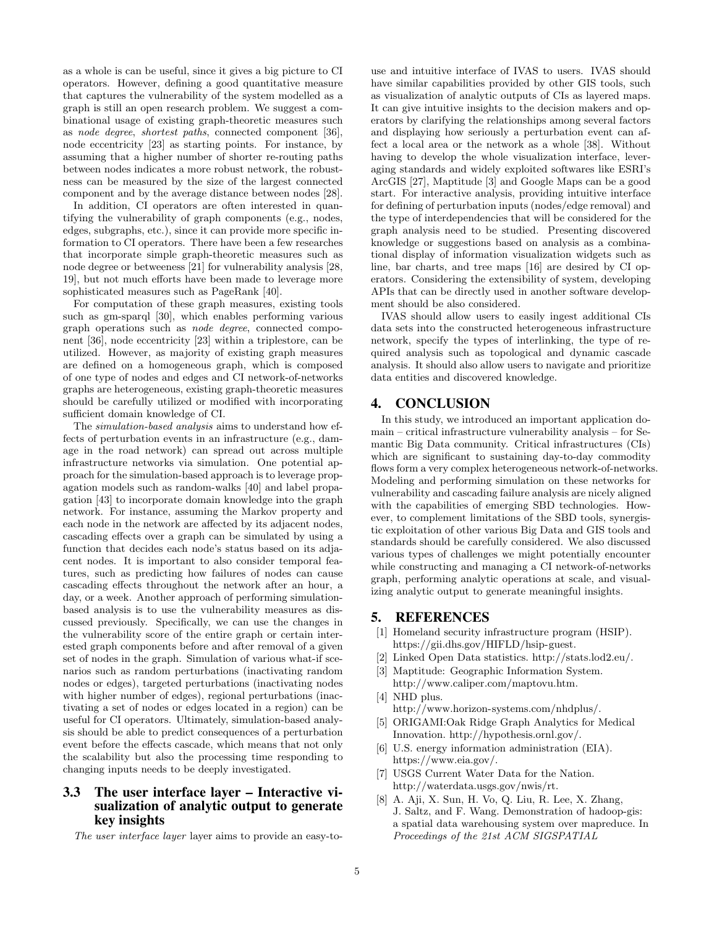as a whole is can be useful, since it gives a big picture to CI operators. However, defining a good quantitative measure that captures the vulnerability of the system modelled as a graph is still an open research problem. We suggest a combinational usage of existing graph-theoretic measures such as node degree, shortest paths, connected component [36], node eccentricity [23] as starting points. For instance, by assuming that a higher number of shorter re-routing paths between nodes indicates a more robust network, the robustness can be measured by the size of the largest connected component and by the average distance between nodes [28].

In addition, CI operators are often interested in quantifying the vulnerability of graph components (e.g., nodes, edges, subgraphs, etc.), since it can provide more specific information to CI operators. There have been a few researches that incorporate simple graph-theoretic measures such as node degree or betweeness [21] for vulnerability analysis [28, 19], but not much efforts have been made to leverage more sophisticated measures such as PageRank [40].

For computation of these graph measures, existing tools such as gm-sparql [30], which enables performing various graph operations such as node degree, connected component [36], node eccentricity [23] within a triplestore, can be utilized. However, as majority of existing graph measures are defined on a homogeneous graph, which is composed of one type of nodes and edges and CI network-of-networks graphs are heterogeneous, existing graph-theoretic measures should be carefully utilized or modified with incorporating sufficient domain knowledge of CI.

The simulation-based analysis aims to understand how effects of perturbation events in an infrastructure (e.g., damage in the road network) can spread out across multiple infrastructure networks via simulation. One potential approach for the simulation-based approach is to leverage propagation models such as random-walks [40] and label propagation [43] to incorporate domain knowledge into the graph network. For instance, assuming the Markov property and each node in the network are affected by its adjacent nodes, cascading effects over a graph can be simulated by using a function that decides each node's status based on its adjacent nodes. It is important to also consider temporal features, such as predicting how failures of nodes can cause cascading effects throughout the network after an hour, a day, or a week. Another approach of performing simulationbased analysis is to use the vulnerability measures as discussed previously. Specifically, we can use the changes in the vulnerability score of the entire graph or certain interested graph components before and after removal of a given set of nodes in the graph. Simulation of various what-if scenarios such as random perturbations (inactivating random nodes or edges), targeted perturbations (inactivating nodes with higher number of edges), regional perturbations (inactivating a set of nodes or edges located in a region) can be useful for CI operators. Ultimately, simulation-based analysis should be able to predict consequences of a perturbation event before the effects cascade, which means that not only the scalability but also the processing time responding to changing inputs needs to be deeply investigated.

### 3.3 The user interface layer – Interactive visualization of analytic output to generate key insights

The user interface layer layer aims to provide an easy-to-

use and intuitive interface of IVAS to users. IVAS should have similar capabilities provided by other GIS tools, such as visualization of analytic outputs of CIs as layered maps. It can give intuitive insights to the decision makers and operators by clarifying the relationships among several factors and displaying how seriously a perturbation event can affect a local area or the network as a whole [38]. Without having to develop the whole visualization interface, leveraging standards and widely exploited softwares like ESRI's ArcGIS [27], Maptitude [3] and Google Maps can be a good start. For interactive analysis, providing intuitive interface for defining of perturbation inputs (nodes/edge removal) and the type of interdependencies that will be considered for the graph analysis need to be studied. Presenting discovered knowledge or suggestions based on analysis as a combinational display of information visualization widgets such as line, bar charts, and tree maps [16] are desired by CI operators. Considering the extensibility of system, developing APIs that can be directly used in another software development should be also considered.

IVAS should allow users to easily ingest additional CIs data sets into the constructed heterogeneous infrastructure network, specify the types of interlinking, the type of required analysis such as topological and dynamic cascade analysis. It should also allow users to navigate and prioritize data entities and discovered knowledge.

## 4. CONCLUSION

In this study, we introduced an important application domain – critical infrastructure vulnerability analysis – for Semantic Big Data community. Critical infrastructures (CIs) which are significant to sustaining day-to-day commodity flows form a very complex heterogeneous network-of-networks. Modeling and performing simulation on these networks for vulnerability and cascading failure analysis are nicely aligned with the capabilities of emerging SBD technologies. However, to complement limitations of the SBD tools, synergistic exploitation of other various Big Data and GIS tools and standards should be carefully considered. We also discussed various types of challenges we might potentially encounter while constructing and managing a CI network-of-networks graph, performing analytic operations at scale, and visualizing analytic output to generate meaningful insights.

#### 5. REFERENCES

- [1] Homeland security infrastructure program (HSIP). https://gii.dhs.gov/HIFLD/hsip-guest.
- [2] Linked Open Data statistics. http://stats.lod2.eu/.
- [3] Maptitude: Geographic Information System. http://www.caliper.com/maptovu.htm.
- [4] NHD plus. http://www.horizon-systems.com/nhdplus/.
- [5] ORIGAMI:Oak Ridge Graph Analytics for Medical Innovation. http://hypothesis.ornl.gov/.
- [6] U.S. energy information administration (EIA). https://www.eia.gov/.
- [7] USGS Current Water Data for the Nation. http://waterdata.usgs.gov/nwis/rt.
- [8] A. Aji, X. Sun, H. Vo, Q. Liu, R. Lee, X. Zhang, J. Saltz, and F. Wang. Demonstration of hadoop-gis: a spatial data warehousing system over mapreduce. In Proceedings of the 21st ACM SIGSPATIAL